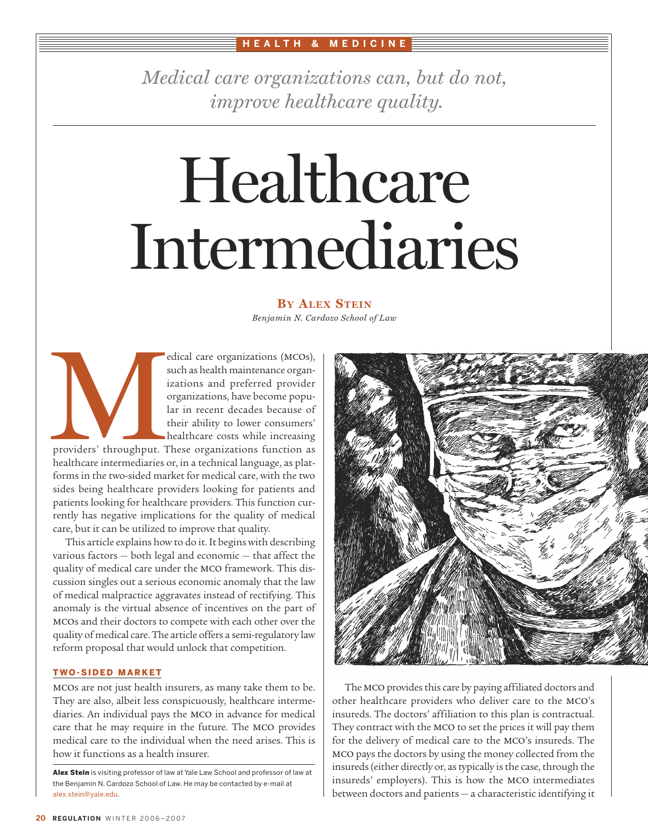### **HEALTH & MEDICINE**

*Medical care organizations can, but do not, improve healthcare quality .*

# Healthcare Intermediaries

## **BY ALEX STEIN**

*Benjamin N. Cardozo School of Law*

edical care organizations (mcos), such as health maintenance organizations and preferred provider organizations, have become popular in recent decades because of their ability to lower consumers' healthcare costs while increasing

providers' throughput. These organizations function as healthcare intermediaries or, in a technical language, as platforms in the two-sided market for medical care, with the two sides being healthcare providers looking for patients and patients looking for healthcare providers. This function currently has negative implications for the quality of medical care, but it can be utilized to improve that quality. e de la providers' throughput. The dithcare intermediaries c

This article explains how to do it. It begins with describing various factors — both legal and economic — that affect the quality of medical care under the mco framework. This discussion singles out a serious economic anomaly that the law of medical malpractice aggravates instead of rectifying. This anomaly is the virtual absence of incentives on the part of mcos and their doctors to compete with each other over the quality of medical care. The article offers a semi-regulatory law reform proposal that would unlock that competition.

#### TWO-SIDED MARKET

mcos are not just health insurers, as many take them to be. They are also, albeit less conspicuously, healthcare intermediaries. An individual pays the mco in advance for medical care that he may require in the future. The mco provides medical care to the individual when the need arises. This is how it functions as a health insurer.



The MCO provides this care by paying affiliated doctors and other healthcare providers who deliver care to the mco's insureds. The doctors' affiliation to this plan is contractual. They contract with the mco to set the prices it will pay them for the delivery of medical care to the mco's insureds. The mco pays the doctors by using the money collected from the insureds (either directly or, as typically is the case, through the insureds' employers). This is how the mco intermediates between doctors and patients — a characteristic identifying it

Alex Stein is visiting professor of law at Yale Law School and professor of law at the Benjamin N. Cardozo School of Law. He may be contacted by e-mail at alex.stein@yale.edu.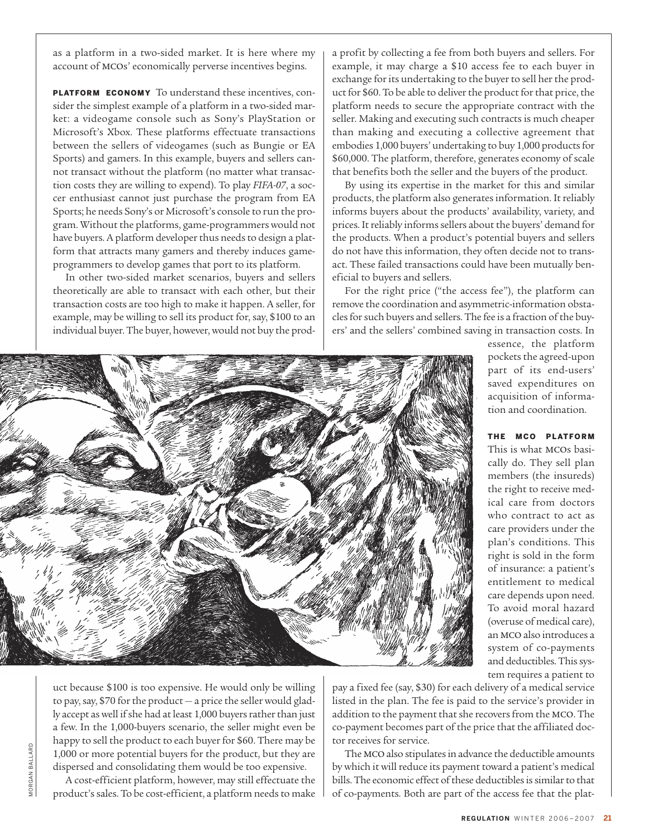as a platform in a two-sided market. It is here where my account of mcos' economically perverse incentives begins.

PLATFORM ECONOMY To understand these incentives, consider the simplest example of a platform in a two-sided market: a videogame console such as Sony's PlayStation or Microsoft's Xbox. These platforms effectuate transactions between the sellers of videogames (such as Bungie or EA Sports) and gamers. In this example, buyers and sellers cannot transact without the platform (no matter what transaction costs they are willing to expend). To play *FIFA-07*, a soccer enthusiast cannot just purchase the program from EA Sports; he needs Sony's or Microsoft's console to run the program. Without the platforms, game-programmers would not have buyers. A platform developer thus needs to design a platform that attracts many gamers and thereby induces gameprogrammers to develop games that port to its platform.

In other two-sided market scenarios, buyers and sellers theoretically are able to transact with each other, but their transaction costs are too high to make it happen. A seller, for example, may be willing to sell its product for, say, \$100 to an individual buyer. The buyer, however, would not buy the proda profit by collecting a fee from both buyers and sellers. For example, it may charge a \$10 access fee to each buyer in exchange for its undertaking to the buyer to sell her the product for \$60. To be able to deliver the product for that price, the platform needs to secure the appropriate contract with the seller. Making and executing such contracts is much cheaper than making and executing a collective agreement that embodies 1,000 buyers' undertaking to buy 1,000 products for \$60,000. The platform, therefore, generates economy of scale that benefits both the seller and the buyers of the product.

By using its expertise in the market for this and similar products, the platform also generates information. It reliably informs buyers about the products' availability, variety, and prices. It reliably informs sellers about the buyers' demand for the products. When a product's potential buyers and sellers do not have this information, they often decide not to transact. These failed transactions could have been mutually beneficial to buyers and sellers.

For the right price ("the access fee"), the platform can remove the coordination and asymmetric-information obstacles for such buyers and sellers. The fee is a fraction of the buyers' and the sellers' combined saving in transaction costs. In



essence, the platform pockets the agreed-upon part of its end-users' saved expenditures on acquisition of information and coordination.

THE MCO PLATFORM This is what mcos basically do. They sell plan members (the insureds) the right to receive medical care from doctors who contract to act as care providers under the plan's conditions. This right is sold in the form of insurance: a patient's entitlement to medical care depends upon need. To avoid moral hazard (overuse of medical care), an MCO also introduces a system of co-payments and deductibles. This system requires a patient to

uct because \$100 is too expensive. He would only be willing to pay, say, \$70 for the product — a price the seller would gladly accept as well if she had at least 1,000 buyers rather than just a few. In the 1,000-buyers scenario, the seller might even be happy to sell the product to each buyer for \$60. There may be 1,000 or more potential buyers for the product, but they are dispersed and consolidating them would be too expensive.

A cost-efficient platform, however, may still effectuate the product's sales. To be cost-efficient, a platform needs to make pay a fixed fee (say, \$30) for each delivery of a medical service listed in the plan. The fee is paid to the service's provider in addition to the payment that she recovers from the mco. The co-payment becomes part of the price that the affiliated doctor receives for service.

The MCO also stipulates in advance the deductible amounts by which it will reduce its payment toward a patient's medical bills. The economic effect of these deductibles is similar to that of co-payments. Both are part of the access fee that the plat-

*MORGAN BALLARD* MORGAN BALLARD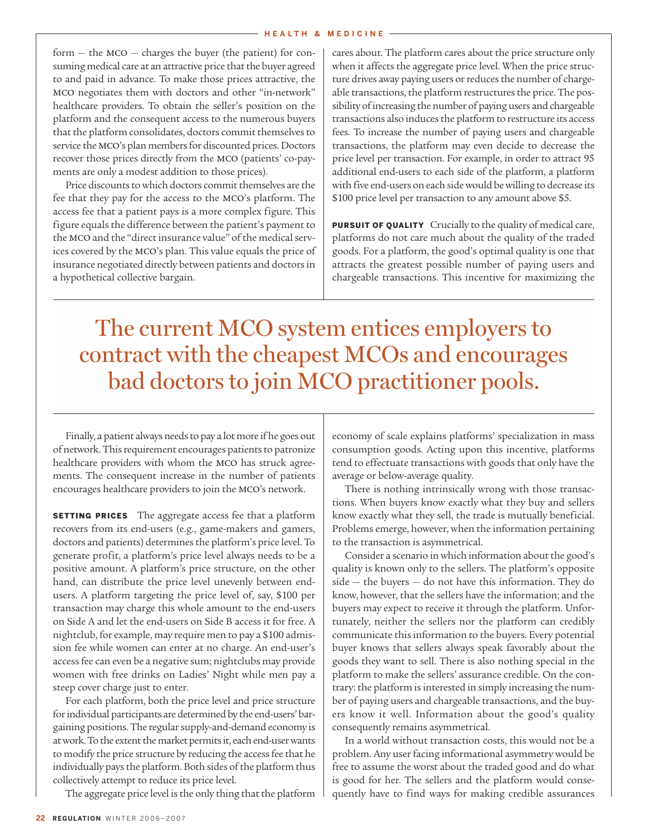form  $-$  the MCO  $-$  charges the buyer (the patient) for consuming medical care at an attractive price that the buyer agreed to and paid in advance. To make those prices attractive, the mco negotiates them with doctors and other "in-network" healthcare providers. To obtain the seller's position on the platform and the consequent access to the numerous buyers that the platform consolidates, doctors commit themselves to service the mco's plan members for discounted prices. Doctors recover those prices directly from the mco (patients' co-payments are only a modest addition to those prices).

Price discounts to which doctors commit themselves are the fee that they pay for the access to the mco's platform. The access fee that a patient pays is a more complex figure. This figure equals the difference between the patient's payment to the mco and the "direct insurance value" of the medical services covered by the mco's plan. This value equals the price of insurance negotiated directly between patients and doctors in a hypothetical collective bargain.

cares about. The platform cares about the price structure only when it affects the aggregate price level. When the price structure drives away paying users or reduces the number of chargeable transactions, the platform restructures the price. The possibility of increasing the number of paying users and chargeable transactions also induces the platform to restructure its access fees. To increase the number of paying users and chargeable transactions, the platform may even decide to decrease the price level per transaction. For example, in order to attract 95 additional end-users to each side of the platform, a platform with five end-users on each side would be willing to decrease its \$100 price level per transaction to any amount above \$5.

**PURSUIT OF QUALITY** Crucially to the quality of medical care, platforms do not care much about the quality of the traded goods. For a platform, the good's optimal quality is one that attracts the greatest possible number of paying users and chargeable transactions. This incentive for maximizing the

The current MCO system entices employers to contract with the cheapest MCOs and encourages bad doctors to join MCO practitioner pools.

Finally, a patient always needs to pay a lot more if he goes out of network. This requirement encourages patients to patronize healthcare providers with whom the mco has struck agreements. The consequent increase in the number of patients encourages healthcare providers to join the mco's network.

**SETTING PRICES** The aggregate access fee that a platform recovers from its end-users (e.g., game-makers and gamers, doctors and patients) determines the platform's price level. To generate profit, a platform's price level always needs to be a positive amount. A platform's price structure, on the other hand, can distribute the price level unevenly between endusers. A platform targeting the price level of, say, \$100 per transaction may charge this whole amount to the end-users on Side A and let the end-users on Side B access it for free. A nightclub, for example, may require men to pay a \$100 admission fee while women can enter at no charge. An end-user's access fee can even be a negative sum; nightclubs may provide women with free drinks on Ladies' Night while men pay a steep cover charge just to enter.

For each platform, both the price level and price structure for individual participants are determined by the end-users' bargaining positions. The regular supply-and-demand economy is at work. To the extent the market permits it, each end-user wants to modify the price structure by reducing the access fee that he individually pays the platform. Both sides of the platform thus collectively attempt to reduce its price level.

The aggregate price level is the only thing that the platform

economy of scale explains platforms' specialization in mass consumption goods. Acting upon this incentive, platforms tend to effectuate transactions with goods that only have the average or below-average quality.

There is nothing intrinsically wrong with those transactions. When buyers know exactly what they buy and sellers know exactly what they sell, the trade is mutually beneficial. Problems emerge, however, when the information pertaining to the transaction is asymmetrical.

Consider a scenario in which information about the good's quality is known only to the sellers. The platform's opposite side — the buyers — do not have this information. They do know, however, that the sellers have the information; and the buyers may expect to receive it through the platform. Unfortunately, neither the sellers nor the platform can credibly communicate this information to the buyers. Every potential buyer knows that sellers always speak favorably about the goods they want to sell. There is also nothing special in the platform to make the sellers' assurance credible. On the contrary: the platform is interested in simply increasing the number of paying users and chargeable transactions, and the buyers know it well. Information about the good's quality consequently remains asymmetrical.

In a world without transaction costs, this would not be a problem. Any user facing informational asymmetry would be free to assume the worst about the traded good and do what is good for her. The sellers and the platform would consequently have to find ways for making credible assurances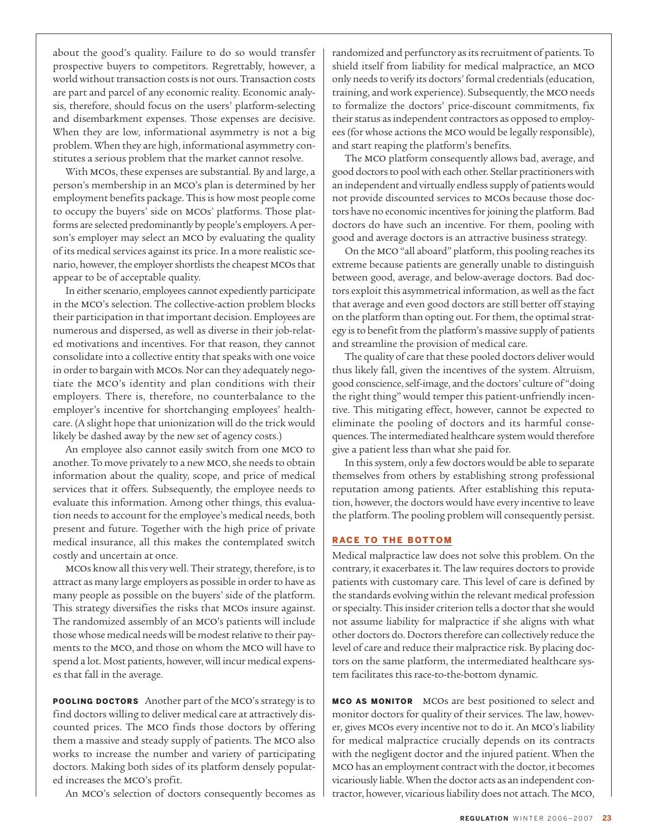about the good's quality. Failure to do so would transfer prospective buyers to competitors. Regrettably, however, a world without transaction costs is not ours. Transaction costs are part and parcel of any economic reality. Economic analysis, therefore, should focus on the users' platform-selecting and disembarkment expenses. Those expenses are decisive. When they are low, informational asymmetry is not a big problem. When they are high, informational asymmetry constitutes a serious problem that the market cannot resolve.

With mcos, these expenses are substantial. By and large, a person's membership in an mco's plan is determined by her employment benefits package. This is how most people come to occupy the buyers' side on mcos' platforms. Those platforms are selected predominantly by people's employers. A person's employer may select an MCO by evaluating the quality of its medical services against its price. In a more realistic scenario, however, the employer shortlists the cheapest mcos that appear to be of acceptable quality.

In either scenario, employees cannot expediently participate in the mco's selection. The collective-action problem blocks their participation in that important decision. Employees are numerous and dispersed, as well as diverse in their job-related motivations and incentives. For that reason, they cannot consolidate into a collective entity that speaks with one voice in order to bargain with mcos. Nor can they adequately negotiate the mco's identity and plan conditions with their employers. There is, therefore, no counterbalance to the employer's incentive for shortchanging employees' healthcare. (A slight hope that unionization will do the trick would likely be dashed away by the new set of agency costs.)

An employee also cannot easily switch from one mco to another. To move privately to a new mco, she needs to obtain information about the quality, scope, and price of medical services that it offers. Subsequently, the employee needs to evaluate this information. Among other things, this evaluation needs to account for the employee's medical needs, both present and future. Together with the high price of private medical insurance, all this makes the contemplated switch costly and uncertain at once.

mcos know all this very well. Their strategy, therefore, is to attract as many large employers as possible in order to have as many people as possible on the buyers' side of the platform. This strategy diversifies the risks that mcos insure against. The randomized assembly of an mco's patients will include those whose medical needs will be modest relative to their payments to the mco, and those on whom the mco will have to spend a lot. Most patients, however, will incur medical expenses that fall in the average.

POOLING DOCTORS Another part of the mco's strategy is to find doctors willing to deliver medical care at attractively discounted prices. The mco finds those doctors by offering them a massive and steady supply of patients. The mco also works to increase the number and variety of participating doctors. Making both sides of its platform densely populated increases the mco's profit.

An mco's selection of doctors consequently becomes as

randomized and perfunctory as its recruitment of patients. To shield itself from liability for medical malpractice, an mco only needs to verify its doctors' formal credentials (education, training, and work experience). Subsequently, the mco needs to formalize the doctors' price-discount commitments, fix their status as independent contractors as opposed to employees (for whose actions the mco would be legally responsible), and start reaping the platform's benefits.

The mco platform consequently allows bad, average, and good doctors to pool with each other. Stellar practitioners with an independent and virtually endless supply of patients would not provide discounted services to mcos because those doctors have no economic incentives for joining the platform. Bad doctors do have such an incentive. For them, pooling with good and average doctors is an attractive business strategy.

On the mco"all aboard" platform, this pooling reaches its extreme because patients are generally unable to distinguish between good, average, and below-average doctors. Bad doctors exploit this asymmetrical information, as well as the fact that average and even good doctors are still better off staying on the platform than opting out. For them, the optimal strategy is to benefit from the platform's massive supply of patients and streamline the provision of medical care.

The quality of care that these pooled doctors deliver would thus likely fall, given the incentives of the system. Altruism, good conscience, self-image, and the doctors' culture of "doing the right thing" would temper this patient-unfriendly incentive. This mitigating effect, however, cannot be expected to eliminate the pooling of doctors and its harmful consequences. The intermediated healthcare system would therefore give a patient less than what she paid for.

In this system, only a few doctors would be able to separate themselves from others by establishing strong professional reputation among patients. After establishing this reputation, however, the doctors would have every incentive to leave the platform. The pooling problem will consequently persist.

#### RACE TO THE BOTTOM

Medical malpractice law does not solve this problem. On the contrary, it exacerbates it. The law requires doctors to provide patients with customary care. This level of care is defined by the standards evolving within the relevant medical profession or specialty. This insider criterion tells a doctor that she would not assume liability for malpractice if she aligns with what other doctors do. Doctors therefore can collectively reduce the level of care and reduce their malpractice risk. By placing doctors on the same platform, the intermediated healthcare system facilitates this race-to-the-bottom dynamic.

**MCO AS MONITOR** MCOs are best positioned to select and monitor doctors for quality of their services. The law, however, gives mcos every incentive not to do it. An mco's liability for medical malpractice crucially depends on its contracts with the negligent doctor and the injured patient. When the MCO has an employment contract with the doctor, it becomes vicariously liable. When the doctor acts as an independent contractor, however, vicarious liability does not attach. The mco,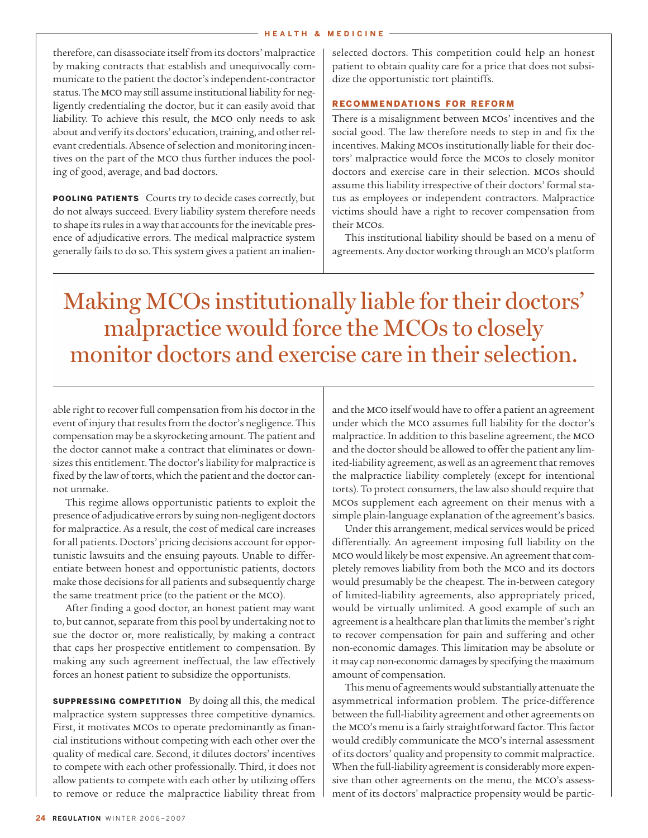therefore, can disassociate itself from its doctors' malpractice by making contracts that establish and unequivocally communicate to the patient the doctor's independent-contractor status. The mco may still assume institutional liability for negligently credentialing the doctor, but it can easily avoid that liability. To achieve this result, the mco only needs to ask about and verify its doctors' education, training, and other relevant credentials. Absence of selection and monitoring incentives on the part of the mco thus further induces the pooling of good, average, and bad doctors.

POOLING PATIENTS Courts try to decide cases correctly, but do not always succeed. Every liability system therefore needs to shape its rules in a way that accounts for the inevitable presence of adjudicative errors. The medical malpractice system generally fails to do so. This system gives a patient an inalienselected doctors. This competition could help an honest patient to obtain quality care for a price that does not subsidize the opportunistic tort plaintiffs.

#### RECOMMENDATIONS FOR REFORM

There is a misalignment between mcos' incentives and the social good. The law therefore needs to step in and fix the incentives. Making mcos institutionally liable for their doctors' malpractice would force the mcos to closely monitor doctors and exercise care in their selection. mcos should assume this liability irrespective of their doctors' formal status as employees or independent contractors. Malpractice victims should have a right to recover compensation from their mcos.

This institutional liability should be based on a menu of agreements. Any doctor working through an mco's platform

# Making MCOs institutionally liable for their doctors' malpractice would force the MCOs to closely monitor doctors and exercise care in their selection.

able right to recover full compensation from his doctor in the event of injury that results from the doctor's negligence. This compensation may be a skyrocketing amount. The patient and the doctor cannot make a contract that eliminates or downsizes this entitlement. The doctor's liability for malpractice is fixed by the law of torts, which the patient and the doctor cannot unmake.

This regime allows opportunistic patients to exploit the presence of adjudicative errors by suing non-negligent doctors for malpractice. As a result, the cost of medical care increases for all patients. Doctors' pricing decisions account for opportunistic lawsuits and the ensuing payouts. Unable to differentiate between honest and opportunistic patients, doctors make those decisions for all patients and subsequently charge the same treatment price (to the patient or the mco).

After finding a good doctor, an honest patient may want to, but cannot, separate from this pool by undertaking not to sue the doctor or, more realistically, by making a contract that caps her prospective entitlement to compensation. By making any such agreement ineffectual, the law effectively forces an honest patient to subsidize the opportunists.

SUPPRESSING COMPETITION By doing all this, the medical malpractice system suppresses three competitive dynamics. First, it motivates mcos to operate predominantly as financial institutions without competing with each other over the quality of medical care. Second, it dilutes doctors' incentives to compete with each other professionally. Third, it does not allow patients to compete with each other by utilizing offers to remove or reduce the malpractice liability threat from and the MCO itself would have to offer a patient an agreement under which the mco assumes full liability for the doctor's malpractice. In addition to this baseline agreement, the mco and the doctor should be allowed to offer the patient any limited-liability agreement, as well as an agreement that removes the malpractice liability completely (except for intentional torts). To protect consumers, the law also should require that mcos supplement each agreement on their menus with a simple plain-language explanation of the agreement's basics.

Under this arrangement, medical services would be priced differentially. An agreement imposing full liability on the MCO would likely be most expensive. An agreement that completely removes liability from both the mco and its doctors would presumably be the cheapest. The in-between category of limited-liability agreements, also appropriately priced, would be virtually unlimited. A good example of such an agreement is a healthcare plan that limits the member's right to recover compensation for pain and suffering and other non-economic damages. This limitation may be absolute or it may cap non-economic damages by specifying the maximum amount of compensation.

This menu of agreements would substantially attenuate the asymmetrical information problem. The price-difference between the full-liability agreement and other agreements on the mco's menu is a fairly straightforward factor. This factor would credibly communicate the mco's internal assessment of its doctors' quality and propensity to commit malpractice. When the full-liability agreement is considerably more expensive than other agreements on the menu, the mco's assessment of its doctors' malpractice propensity would be partic-